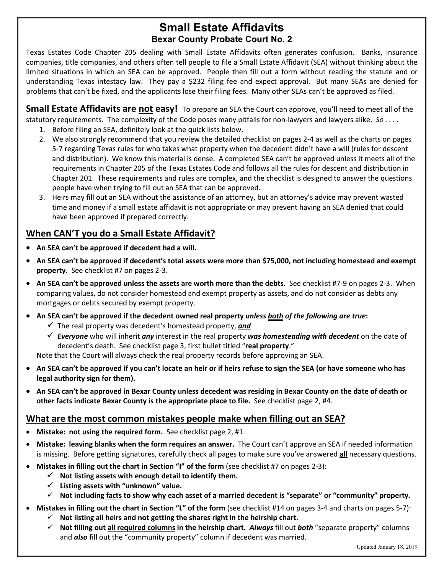# **Small Estate Affidavits Bexar County Probate Court No. 2**

Texas Estates Code Chapter 205 dealing with Small Estate Affidavits often generates confusion. Banks, insurance companies, title companies, and others often tell people to file a Small Estate Affidavit (SEA) without thinking about the limited situations in which an SEA can be approved. People then fill out a form without reading the statute and or understanding Texas intestacy law. They pay a \$232 filing fee and expect approval. But many SEAs are denied for problems that can't be fixed, and the applicants lose their filing fees. Many other SEAs can't be approved as filed.

**Small Estate Affidavits are not easy!** To prepare an SEA the Court can approve, you'll need to meet all of the statutory requirements. The complexity of the Code poses many pitfalls for non-lawyers and lawyers alike. *So . . . .*

- 1. Before filing an SEA, definitely look at the quick lists below.
- 2. We also strongly recommend that you review the detailed checklist on pages 2-4 as well as the charts on pages 5-7 regarding Texas rules for who takes what property when the decedent didn't have a will (rules for descent and distribution). We know this material is dense. A completed SEA can't be approved unless it meets all of the requirements in Chapter 205 of the Texas Estates Code and follows all the rules for descent and distribution in Chapter 201. These requirements and rules are complex, and the checklist is designed to answer the questions people have when trying to fill out an SEA that can be approved.
- 3. Heirs may fill out an SEA without the assistance of an attorney, but an attorney's advice may prevent wasted time and money if a small estate affidavit is not appropriate or may prevent having an SEA denied that could have been approved if prepared correctly.

## **When CAN'T you do a Small Estate Affidavit?**

- **An SEA can't be approved if decedent had a will.**
- **An SEA can't be approved if decedent's total assets were more than \$75,000, not including homestead and exempt property.** See checklist #7 on pages 2-3.
- **An SEA can't be approved unless the assets are worth more than the debts.** See checklist #7-9 on pages 2-3. When comparing values, do not consider homestead and exempt property as assets, and do not consider as debts any mortgages or debts secured by exempt property.
- **An SEA can't be approved if the decedent owned real property** *unless both of the following are true***:**
	- The real property was decedent's homestead property, *and*
	- *Everyone* who will inherit *any* interest in the real property *was homesteading with decedent* on the date of decedent's death. See checklist page 3, first bullet titled "**real property**."

Note that the Court will always check the real property records before approving an SEA.

- **An SEA can't be approved if you can't locate an heir or if heirs refuse to sign the SEA (or have someone who has legal authority sign for them).**
- **An SEA can't be approved in Bexar County unless decedent was residing in Bexar County on the date of death or other facts indicate Bexar County is the appropriate place to file.** See checklist page 2, #4.

## **What are the most common mistakes people make when filling out an SEA?**

- **Mistake: not using the required form.** See checklist page 2, #1.
- **Mistake: leaving blanks when the form requires an answer.** The Court can't approve an SEA if needed information is missing. Before getting signatures, carefully check all pages to make sure you've answered **all** necessary questions.
- **Mistakes in filling out the chart in Section "I" of the form** (see checklist #7 on pages 2-3):
	- $\checkmark$  Not listing assets with enough detail to identify them.
	- **Listing assets with "unknown" value.**
	- **Not including facts to show why each asset of a married decedent is "separate" or "community" property.**
- **Mistakes in filling out the chart in Section "L" of the form** (see checklist #14 on pages 3-4 and charts on pages 5-7):
	- **Not listing all heirs and not getting the shares right in the heirship chart.**
	- **Not filling out all required columns in the heirship chart.** *Always* fill out *both* "separate property" columns and *also* fill out the "community property" column if decedent was married.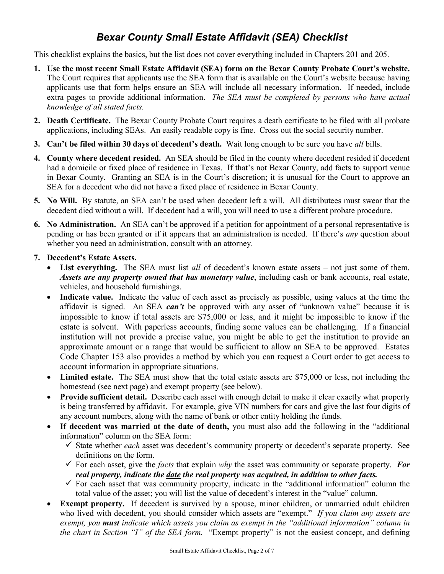# *Bexar County Small Estate Affidavit (SEA) Checklist*

This checklist explains the basics, but the list does not cover everything included in Chapters 201 and 205.

- **1. Use the most recent Small Estate Affidavit (SEA) form on the Bexar County Probate Court's website.** The Court requires that applicants use the SEA form that is available on the Court's website because having applicants use that form helps ensure an SEA will include all necessary information. If needed, include extra pages to provide additional information. *The SEA must be completed by persons who have actual knowledge of all stated facts.*
- **2. Death Certificate.** The Bexar County Probate Court requires a death certificate to be filed with all probate applications, including SEAs. An easily readable copy is fine. Cross out the social security number.
- **3. Can't be filed within 30 days of decedent's death.** Wait long enough to be sure you have *all* bills.
- **4. County where decedent resided.** An SEA should be filed in the county where decedent resided if decedent had a domicile or fixed place of residence in Texas. If that's not Bexar County, add facts to support venue in Bexar County. Granting an SEA is in the Court's discretion; it is unusual for the Court to approve an SEA for a decedent who did not have a fixed place of residence in Bexar County.
- **5. No Will.** By statute, an SEA can't be used when decedent left a will. All distributees must swear that the decedent died without a will. If decedent had a will, you will need to use a different probate procedure.
- **6. No Administration.** An SEA can't be approved if a petition for appointment of a personal representative is pending or has been granted or if it appears that an administration is needed. If there's *any* question about whether you need an administration, consult with an attorney.

#### **7. Decedent's Estate Assets.**

- **List everything.** The SEA must list *all* of decedent's known estate assets not just some of them. *Assets are any property owned that has monetary value*, including cash or bank accounts, real estate, vehicles, and household furnishings.
- Indicate value. Indicate the value of each asset as precisely as possible, using values at the time the affidavit is signed. An SEA *can't* be approved with any asset of "unknown value" because it is impossible to know if total assets are \$75,000 or less, and it might be impossible to know if the estate is solvent. With paperless accounts, finding some values can be challenging. If a financial institution will not provide a precise value, you might be able to get the institution to provide an approximate amount or a range that would be sufficient to allow an SEA to be approved. Estates Code Chapter 153 also provides a method by which you can request a Court order to get access to account information in appropriate situations.
- **Limited estate.** The SEA must show that the total estate assets are \$75,000 or less, not including the homestead (see next page) and exempt property (see below).
- Provide sufficient detail. Describe each asset with enough detail to make it clear exactly what property is being transferred by affidavit. For example, give VIN numbers for cars and give the last four digits of any account numbers, along with the name of bank or other entity holding the funds.
- **If decedent was married at the date of death,** you must also add the following in the "additional information" column on the SEA form:
	- $\checkmark$  State whether *each* asset was decedent's community property or decedent's separate property. See definitions on the form.
	- For each asset, give the *facts* that explain *why* the asset was community or separate property. *For real property, indicate the date the real property was acquired, in addition to other facts.*
	- $\checkmark$  For each asset that was community property, indicate in the "additional information" column the total value of the asset; you will list the value of decedent's interest in the "value" column.
- **Exempt property.** If decedent is survived by a spouse, minor children, or unmarried adult children who lived with decedent, you should consider which assets are "exempt." *If you claim any assets are exempt, you must indicate which assets you claim as exempt in the "additional information" column in the chart in Section "I" of the SEA form.* "Exempt property" is not the easiest concept, and defining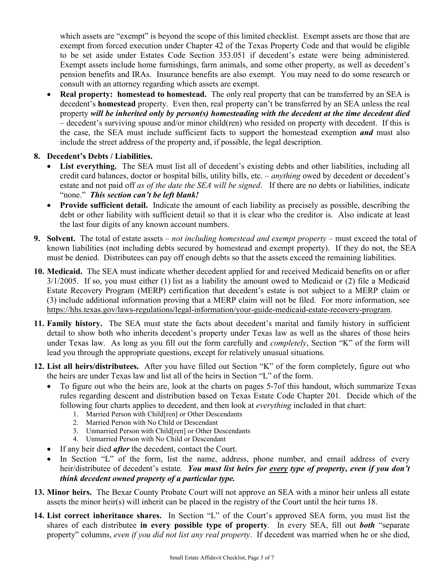which assets are "exempt" is beyond the scope of this limited checklist. Exempt assets are those that are exempt from forced execution under Chapter 42 of the Texas Property Code and that would be eligible to be set aside under Estates Code Section 353.051 if decedent's estate were being administered. Exempt assets include home furnishings, farm animals, and some other property, as well as decedent's pension benefits and IRAs. Insurance benefits are also exempt. You may need to do some research or consult with an attorney regarding which assets are exempt.

- **Real property: homestead to homestead.** The only real property that can be transferred by an SEA is decedent's **homestead** property. Even then, real property can't be transferred by an SEA unless the real property *will be inherited only by person(s) homesteading with the decedent at the time decedent died* – decedent's surviving spouse and/or minor child(ren) who resided on property with decedent. If this is the case, the SEA must include sufficient facts to support the homestead exemption *and* must also include the street address of the property and, if possible, the legal description.
- **8. Decedent's Debts / Liabilities.**
	- List everything. The SEA must list all of decedent's existing debts and other liabilities, including all credit card balances, doctor or hospital bills, utility bills, etc. – *anything* owed by decedent or decedent's estate and not paid off *as of the date the SEA will be signed*. If there are no debts or liabilities, indicate "none." *This section can't be left blank!*
	- **Provide sufficient detail.** Indicate the amount of each liability as precisely as possible, describing the debt or other liability with sufficient detail so that it is clear who the creditor is. Also indicate at least the last four digits of any known account numbers.
- **9. Solvent.** The total of estate assets *not including homestead and exempt property* must exceed the total of known liabilities (not including debts secured by homestead and exempt property). If they do not, the SEA must be denied. Distributees can pay off enough debts so that the assets exceed the remaining liabilities.
- **10. Medicaid.** The SEA must indicate whether decedent applied for and received Medicaid benefits on or after 3/1/2005. If so, you must either (1) list as a liability the amount owed to Medicaid or (2) file a Medicaid Estate Recovery Program (MERP) certification that decedent's estate is not subject to a MERP claim or (3) include additional information proving that a MERP claim will not be filed. For more information, see [https://hhs.texas.gov/laws-regulations/legal-information/your-guide-medicaid-estate-recovery-program.](https://hhs.texas.gov/laws-regulations/legal-information/your-guide-medicaid-estate-recovery-program)
- **11. Family history.** The SEA must state the facts about decedent's marital and family history in sufficient detail to show both who inherits decedent's property under Texas law as well as the shares of those heirs under Texas law. As long as you fill out the form carefully and *completely*, Section "K" of the form will lead you through the appropriate questions, except for relatively unusual situations.
- **12. List all heirs/distributees.** After you have filled out Section "K" of the form completely, figure out who the heirs are under Texas law and list all of the heirs in Section "L" of the form.
	- To figure out who the heirs are, look at the charts on pages 5-7of this handout, which summarize Texas rules regarding descent and distribution based on Texas Estate Code Chapter 201. Decide which of the following four charts applies to decedent, and then look at *everything* included in that chart:
		- 1. Married Person with Child[ren] or Other Descendants
		- 2. Married Person with No Child or Descendant
		- 3. Unmarried Person with Child[ren] or Other Descendants
		- 4. Unmarried Person with No Child or Descendant
	- If any heir died *after* the decedent, contact the Court.
	- In Section "L" of the form, list the name, address, phone number, and email address of every heir/distributee of decedent's estate*. You must list heirs for every type of property, even if you don't think decedent owned property of a particular type.*
- **13. Minor heirs.** The Bexar County Probate Court will not approve an SEA with a minor heir unless all estate assets the minor heir(s) will inherit can be placed in the registry of the Court until the heir turns 18.
- **14. List correct inheritance shares.** In Section "L" of the Court's approved SEA form, you must list the shares of each distributee **in every possible type of property**. In every SEA, fill out *both* "separate property" columns, *even if you did not list any real property*. If decedent was married when he or she died,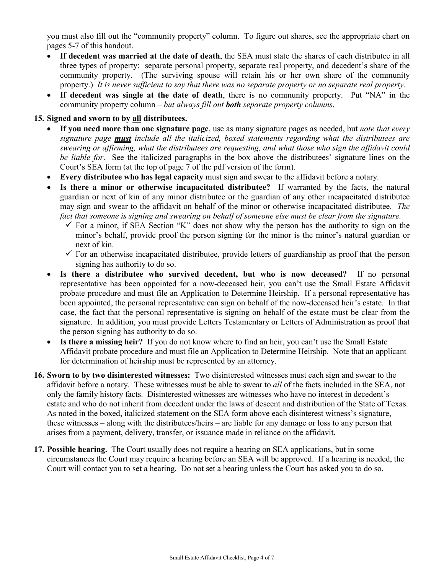you must also fill out the "community property" column. To figure out shares, see the appropriate chart on pages 5-7 of this handout.

- **If decedent was married at the date of death**, the SEA must state the shares of each distributee in all three types of property: separate personal property, separate real property, and decedent's share of the community property. (The surviving spouse will retain his or her own share of the community property.) *It is never sufficient to say that there was no separate property or no separate real property.*
- **If decedent was single at the date of death**, there is no community property. Put "NA" in the community property column – *but always fill out both separate property columns*.

#### **15. Signed and sworn to by all distributees.**

- **If you need more than one signature page**, use as many signature pages as needed, but *note that every signature page must include all the italicized, boxed statements regarding what the distributees are swearing or affirming, what the distributees are requesting, and what those who sign the affidavit could be liable for*. See the italicized paragraphs in the box above the distributees' signature lines on the Court's SEA form (at the top of page 7 of the pdf version of the form).
- **Every distributee who has legal capacity** must sign and swear to the affidavit before a notary.
- Is there a minor or otherwise incapacitated distributee? If warranted by the facts, the natural guardian or next of kin of any minor distributee or the guardian of any other incapacitated distributee may sign and swear to the affidavit on behalf of the minor or otherwise incapacitated distributee. *The fact that someone is signing and swearing on behalf of someone else must be clear from the signature.*
	- $\checkmark$  For a minor, if SEA Section "K" does not show why the person has the authority to sign on the minor's behalf, provide proof the person signing for the minor is the minor's natural guardian or next of kin.
	- $\checkmark$  For an otherwise incapacitated distributee, provide letters of guardianship as proof that the person signing has authority to do so.
- **Is there a distributee who survived decedent, but who is now deceased?** If no personal representative has been appointed for a now-deceased heir, you can't use the Small Estate Affidavit probate procedure and must file an Application to Determine Heirship. If a personal representative has been appointed, the personal representative can sign on behalf of the now-deceased heir's estate. In that case, the fact that the personal representative is signing on behalf of the estate must be clear from the signature. In addition, you must provide Letters Testamentary or Letters of Administration as proof that the person signing has authority to do so.
- **Is there a missing heir?** If you do not know where to find an heir, you can't use the Small Estate Affidavit probate procedure and must file an Application to Determine Heirship. Note that an applicant for determination of heirship must be represented by an attorney.
- **16. Sworn to by two disinterested witnesses:** Two disinterested witnesses must each sign and swear to the affidavit before a notary. These witnesses must be able to swear to *all* of the facts included in the SEA, not only the family history facts. Disinterested witnesses are witnesses who have no interest in decedent's estate and who do not inherit from decedent under the laws of descent and distribution of the State of Texas. As noted in the boxed, italicized statement on the SEA form above each disinterest witness's signature, these witnesses – along with the distributees/heirs – are liable for any damage or loss to any person that arises from a payment, delivery, transfer, or issuance made in reliance on the affidavit.
- **17. Possible hearing.** The Court usually does not require a hearing on SEA applications, but in some circumstances the Court may require a hearing before an SEA will be approved. If a hearing is needed, the Court will contact you to set a hearing. Do not set a hearing unless the Court has asked you to do so.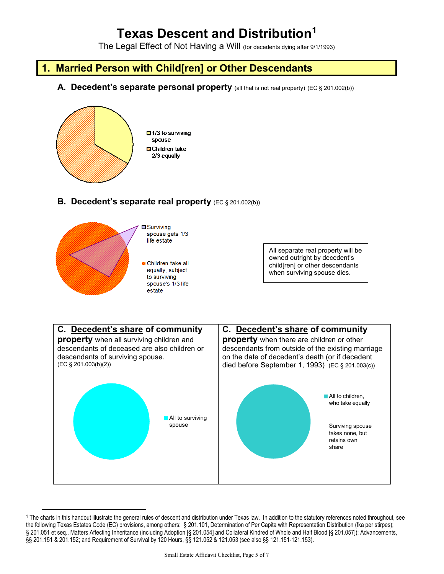# **Texas Descent and Distribution[1](#page-4-0)**

The Legal Effect of Not Having a Will (for decedents dying after 9/1/1993)

## **1. Married Person with Child[ren] or Other Descendants**

**A. Decedent's separate personal property** (all that is not real property) (EC § 201.002(b))



### **B. Decedent's separate real property** (EC § 201.002(b))



 $\overline{a}$ 

All separate real property will be owned outright by decedent's child[ren] or other descendants when surviving spouse dies.



<span id="page-4-0"></span><sup>1</sup> The charts in this handout illustrate the general rules of descent and distribution under Texas law. In addition to the statutory references noted throughout, see the following Texas Estates Code (EC) provisions, among others: § 201.101, Determination of Per Capita with Representation Distribution (fka per stirpes); § 201.051 et seq., Matters Affecting Inheritance (including Adoption [§ 201.054] and Collateral Kindred of Whole and Half Blood [§ 201.057]); Advancements, §§ 201.151 & 201.152; and Requirement of Survival by 120 Hours, §§ 121.052 & 121.053 (see also §§ 121.151-121.153).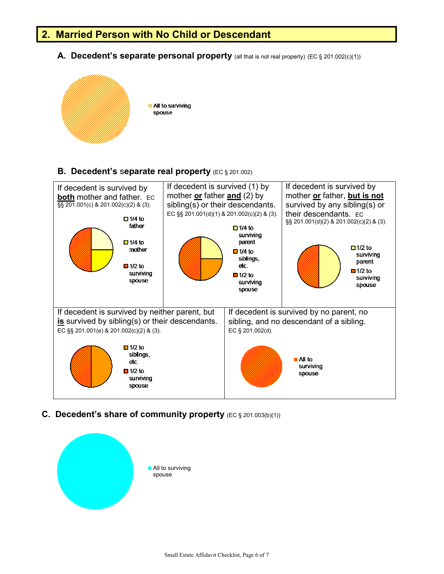## **2. Married Person with No Child or Descendant**

**A. Decedent's separate personal property** (all that is not real property) (EC § 201.002(c)(1))



#### **B. Decedent's** s**eparate real property** (EC § 201.002)



**C. Decedent's share of community property** (EC § 201.003(b)(1))